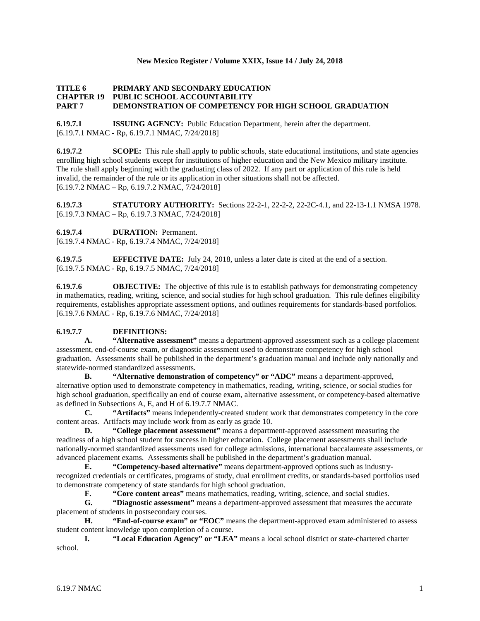### **New Mexico Register / Volume XXIX, Issue 14 / July 24, 2018**

#### **TITLE 6 PRIMARY AND SECONDARY EDUCATION CHAPTER 19 PUBLIC SCHOOL ACCOUNTABILITY PART 7 DEMONSTRATION OF COMPETENCY FOR HIGH SCHOOL GRADUATION**

**6.19.7.1 ISSUING AGENCY:** Public Education Department, herein after the department. [6.19.7.1 NMAC - Rp, 6.19.7.1 NMAC, 7/24/2018]

**6.19.7.2 SCOPE:** This rule shall apply to public schools, state educational institutions, and state agencies enrolling high school students except for institutions of higher education and the New Mexico military institute. The rule shall apply beginning with the graduating class of 2022. If any part or application of this rule is held invalid, the remainder of the rule or its application in other situations shall not be affected. [6.19.7.2 NMAC – Rp, 6.19.7.2 NMAC, 7/24/2018]

**6.19.7.3 STATUTORY AUTHORITY:** Sections 22-2-1, 22-2-2, 22-2C-4.1, and 22-13-1.1 NMSA 1978. [6.19.7.3 NMAC – Rp, 6.19.7.3 NMAC, 7/24/2018]

**6.19.7.4 DURATION:** Permanent.

[6.19.7.4 NMAC - Rp, 6.19.7.4 NMAC, 7/24/2018]

**6.19.7.5 EFFECTIVE DATE:** July 24, 2018, unless a later date is cited at the end of a section. [6.19.7.5 NMAC - Rp, 6.19.7.5 NMAC, 7/24/2018]

**6.19.7.6 OBJECTIVE:** The objective of this rule is to establish pathways for demonstrating competency in mathematics, reading, writing, science, and social studies for high school graduation. This rule defines eligibility requirements, establishes appropriate assessment options, and outlines requirements for standards-based portfolios. [6.19.7.6 NMAC - Rp, 6.19.7.6 NMAC, 7/24/2018]

# **6.19.7.7 DEFINITIONS:**

**A. "Alternative assessment"** means a department-approved assessment such as a college placement assessment, end-of-course exam, or diagnostic assessment used to demonstrate competency for high school graduation. Assessments shall be published in the department's graduation manual and include only nationally and statewide-normed standardized assessments.

**B. "Alternative demonstration of competency" or "ADC"** means a department-approved, alternative option used to demonstrate competency in mathematics, reading, writing, science, or social studies for high school graduation, specifically an end of course exam, alternative assessment, or competency-based alternative as defined in Subsections A, E, and H of 6.19.7.7 NMAC.

**C. "Artifacts"** means independently-created student work that demonstrates competency in the core content areas. Artifacts may include work from as early as grade 10.

**D. "College placement assessment"** means a department-approved assessment measuring the readiness of a high school student for success in higher education. College placement assessments shall include nationally-normed standardized assessments used for college admissions, international baccalaureate assessments, or advanced placement exams. Assessments shall be published in the department's graduation manual.

**E. "Competency-based alternative"** means department-approved options such as industryrecognized credentials or certificates, programs of study, dual enrollment credits, or standards-based portfolios used to demonstrate competency of state standards for high school graduation.

**F. "Core content areas"** means mathematics, reading, writing, science, and social studies.<br> **G. "Diagnostic assessment"** means a department-approved assessment that measures the ac-

**G. "Diagnostic assessment"** means a department-approved assessment that measures the accurate placement of students in postsecondary courses.

**H. "End-of-course exam" or "EOC"** means the department-approved exam administered to assess student content knowledge upon completion of a course.

**I. "Local Education Agency" or "LEA"** means a local school district or state-chartered charter school.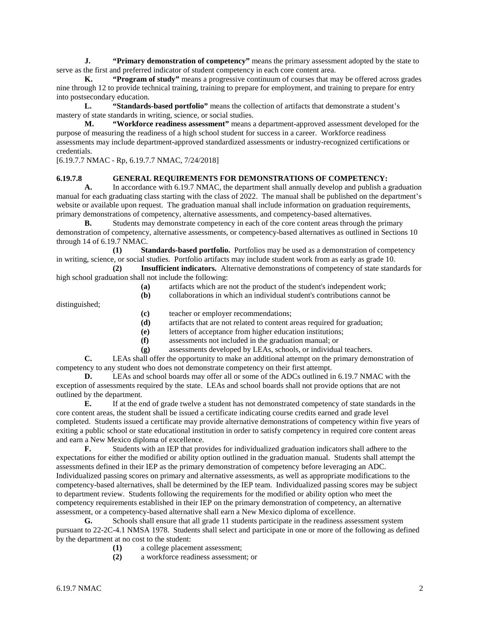**J. "Primary demonstration of competency"** means the primary assessment adopted by the state to serve as the first and preferred indicator of student competency in each core content area.

**K. "Program of study"** means a progressive continuum of courses that may be offered across grades nine through 12 to provide technical training, training to prepare for employment, and training to prepare for entry into postsecondary education.

**L. "Standards-based portfolio"** means the collection of artifacts that demonstrate a student's mastery of state standards in writing, science, or social studies.

**M. "Workforce readiness assessment"** means a department-approved assessment developed for the purpose of measuring the readiness of a high school student for success in a career. Workforce readiness assessments may include department-approved standardized assessments or industry-recognized certifications or credentials.

[6.19.7.7 NMAC - Rp, 6.19.7.7 NMAC, 7/24/2018]

#### **6.19.7.8 GENERAL REQUIREMENTS FOR DEMONSTRATIONS OF COMPETENCY:**

**A.** In accordance with 6.19.7 NMAC, the department shall annually develop and publish a graduation manual for each graduating class starting with the class of 2022. The manual shall be published on the department's website or available upon request. The graduation manual shall include information on graduation requirements, primary demonstrations of competency, alternative assessments, and competency-based alternatives.

**B.** Students may demonstrate competency in each of the core content areas through the primary demonstration of competency, alternative assessments, or competency-based alternatives as outlined in Sections 10 through 14 of 6.19.7 NMAC.

**(1) Standards-based portfolio.** Portfolios may be used as a demonstration of competency in writing, science, or social studies. Portfolio artifacts may include student work from as early as grade 10.

**(2) Insufficient indicators.** Alternative demonstrations of competency of state standards for high school graduation shall not include the following:<br>(a) artifacts which are

- **(a)** artifacts which are not the product of the student's independent work;
- **(b)** collaborations in which an individual student's contributions cannot be

distinguished;

- **(c)** teacher or employer recommendations;
- **(d)** artifacts that are not related to content areas required for graduation;
- **(e)** letters of acceptance from higher education institutions;
- **(f)** assessments not included in the graduation manual; or
- **(g)** assessments developed by LEAs, schools, or individual teachers.

**C.** LEAs shall offer the opportunity to make an additional attempt on the primary demonstration of competency to any student who does not demonstrate competency on their first attempt.

**D.** LEAs and school boards may offer all or some of the ADCs outlined in 6.19.7 NMAC with the exception of assessments required by the state. LEAs and school boards shall not provide options that are not outlined by the department.

**E.** If at the end of grade twelve a student has not demonstrated competency of state standards in the core content areas, the student shall be issued a certificate indicating course credits earned and grade level completed. Students issued a certificate may provide alternative demonstrations of competency within five years of exiting a public school or state educational institution in order to satisfy competency in required core content areas and earn a New Mexico diploma of excellence.

**F.** Students with an IEP that provides for individualized graduation indicators shall adhere to the expectations for either the modified or ability option outlined in the graduation manual. Students shall attempt the assessments defined in their IEP as the primary demonstration of competency before leveraging an ADC. Individualized passing scores on primary and alternative assessments, as well as appropriate modifications to the competency-based alternatives, shall be determined by the IEP team. Individualized passing scores may be subject to department review. Students following the requirements for the modified or ability option who meet the competency requirements established in their IEP on the primary demonstration of competency, an alternative assessment, or a competency-based alternative shall earn a New Mexico diploma of excellence.

**G.** Schools shall ensure that all grade 11 students participate in the readiness assessment system pursuant to 22-2C-4.1 NMSA 1978. Students shall select and participate in one or more of the following as defined by the department at no cost to the student:

**(1)** a college placement assessment;

**(2)** a workforce readiness assessment; or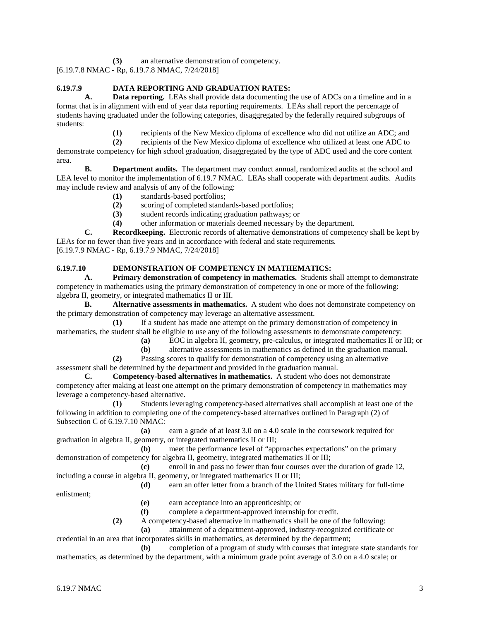**(3)** an alternative demonstration of competency.

[6.19.7.8 NMAC - Rp, 6.19.7.8 NMAC, 7/24/2018]

# **6.19.7.9 DATA REPORTING AND GRADUATION RATES:**

**A. Data reporting.** LEAs shall provide data documenting the use of ADCs on a timeline and in a format that is in alignment with end of year data reporting requirements. LEAs shall report the percentage of students having graduated under the following categories, disaggregated by the federally required subgroups of students:

**(1)** recipients of the New Mexico diploma of excellence who did not utilize an ADC; and

**(2)** recipients of the New Mexico diploma of excellence who utilized at least one ADC to demonstrate competency for high school graduation, disaggregated by the type of ADC used and the core content area.

**B. Department audits.** The department may conduct annual, randomized audits at the school and LEA level to monitor the implementation of 6.19.7 NMAC. LEAs shall cooperate with department audits. Audits may include review and analysis of any of the following:

- **(1)** standards-based portfolios;
- **(2)** scoring of completed standards-based portfolios;
- **(3)** student records indicating graduation pathways; or
- **(4)** other information or materials deemed necessary by the department.

**C. Recordkeeping.** Electronic records of alternative demonstrations of competency shall be kept by LEAs for no fewer than five years and in accordance with federal and state requirements. [6.19.7.9 NMAC - Rp, 6.19.7.9 NMAC, 7/24/2018]

# **6.19.7.10 DEMONSTRATION OF COMPETENCY IN MATHEMATICS:**

**A. Primary demonstration of competency in mathematics.** Students shall attempt to demonstrate competency in mathematics using the primary demonstration of competency in one or more of the following: algebra II, geometry, or integrated mathematics II or III.

**B. Alternative assessments in mathematics.** A student who does not demonstrate competency on the primary demonstration of competency may leverage an alternative assessment.

**(1)** If a student has made one attempt on the primary demonstration of competency in mathematics, the student shall be eligible to use any of the following assessments to demonstrate competency:

- **(a)** EOC in algebra II, geometry, pre-calculus, or integrated mathematics II or III; or
- **(b)** alternative assessments in mathematics as defined in the graduation manual.

**(2)** Passing scores to qualify for demonstration of competency using an alternative assessment shall be determined by the department and provided in the graduation manual.

**C. Competency-based alternatives in mathematics.** A student who does not demonstrate competency after making at least one attempt on the primary demonstration of competency in mathematics may leverage a competency-based alternative.

**(1)** Students leveraging competency-based alternatives shall accomplish at least one of the following in addition to completing one of the competency-based alternatives outlined in Paragraph (2) of Subsection C of 6.19.7.10 NMAC:

**(a)** earn a grade of at least 3.0 on a 4.0 scale in the coursework required for graduation in algebra II, geometry, or integrated mathematics II or III;

**(b)** meet the performance level of "approaches expectations" on the primary demonstration of competency for algebra II, geometry, integrated mathematics II or III;

**(c)** enroll in and pass no fewer than four courses over the duration of grade 12, including a course in algebra II, geometry, or integrated mathematics II or III;

**(d)** earn an offer letter from a branch of the United States military for full-time

enlistment;

- **(e)** earn acceptance into an apprenticeship; or
- **(f)** complete a department-approved internship for credit.
- **(2)** A competency-based alternative in mathematics shall be one of the following:
	- **(a)** attainment of a department-approved, industry-recognized certificate or

credential in an area that incorporates skills in mathematics, as determined by the department; **(b)** completion of a program of study with courses that integrate state standards for

mathematics, as determined by the department, with a minimum grade point average of 3.0 on a 4.0 scale; or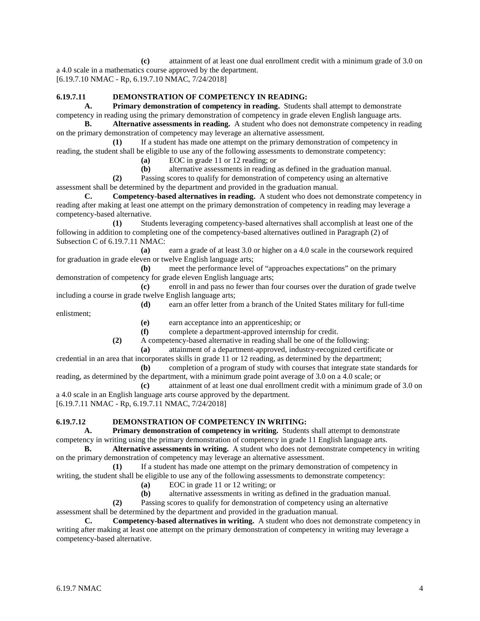**(c)** attainment of at least one dual enrollment credit with a minimum grade of 3.0 on a 4.0 scale in a mathematics course approved by the department. [6.19.7.10 NMAC - Rp, 6.19.7.10 NMAC, 7/24/2018]

# **6.19.7.11 DEMONSTRATION OF COMPETENCY IN READING:**

**A. Primary demonstration of competency in reading.** Students shall attempt to demonstrate competency in reading using the primary demonstration of competency in grade eleven English language arts.

**B. Alternative assessments in reading.** A student who does not demonstrate competency in reading on the primary demonstration of competency may leverage an alternative assessment.

**(1)** If a student has made one attempt on the primary demonstration of competency in reading, the student shall be eligible to use any of the following assessments to demonstrate competency:

**(a)** EOC in grade 11 or 12 reading; or

**(b)** alternative assessments in reading as defined in the graduation manual.

**(2)** Passing scores to qualify for demonstration of competency using an alternative assessment shall be determined by the department and provided in the graduation manual.

**C. Competency-based alternatives in reading.** A student who does not demonstrate competency in reading after making at least one attempt on the primary demonstration of competency in reading may leverage a competency-based alternative.

**(1)** Students leveraging competency-based alternatives shall accomplish at least one of the following in addition to completing one of the competency-based alternatives outlined in Paragraph (2) of Subsection C of 6.19.7.11 NMAC:

**(a)** earn a grade of at least 3.0 or higher on a 4.0 scale in the coursework required for graduation in grade eleven or twelve English language arts;

**(b)** meet the performance level of "approaches expectations" on the primary demonstration of competency for grade eleven English language arts;

**(c)** enroll in and pass no fewer than four courses over the duration of grade twelve including a course in grade twelve English language arts;

**(d)** earn an offer letter from a branch of the United States military for full-time enlistment;

**(e)** earn acceptance into an apprenticeship; or

**(f)** complete a department-approved internship for credit.

**(2)** A competency-based alternative in reading shall be one of the following:

**(a)** attainment of a department-approved, industry-recognized certificate or

credential in an area that incorporates skills in grade 11 or 12 reading, as determined by the department; **(b)** completion of a program of study with courses that integrate state standards for

reading, as determined by the department, with a minimum grade point average of 3.0 on a 4.0 scale; or **(c)** attainment of at least one dual enrollment credit with a minimum grade of 3.0 on

a 4.0 scale in an English language arts course approved by the department.

[6.19.7.11 NMAC - Rp, 6.19.7.11 NMAC, 7/24/2018]

# **6.19.7.12 DEMONSTRATION OF COMPETENCY IN WRITING:**

**A. Primary demonstration of competency in writing.** Students shall attempt to demonstrate competency in writing using the primary demonstration of competency in grade 11 English language arts.

**B. Alternative assessments in writing.** A student who does not demonstrate competency in writing on the primary demonstration of competency may leverage an alternative assessment.

**(1)** If a student has made one attempt on the primary demonstration of competency in writing, the student shall be eligible to use any of the following assessments to demonstrate competency:

**(a)** EOC in grade 11 or 12 writing; or

**(b)** alternative assessments in writing as defined in the graduation manual.

**(2)** Passing scores to qualify for demonstration of competency using an alternative assessment shall be determined by the department and provided in the graduation manual.

**C. Competency-based alternatives in writing.** A student who does not demonstrate competency in writing after making at least one attempt on the primary demonstration of competency in writing may leverage a competency-based alternative.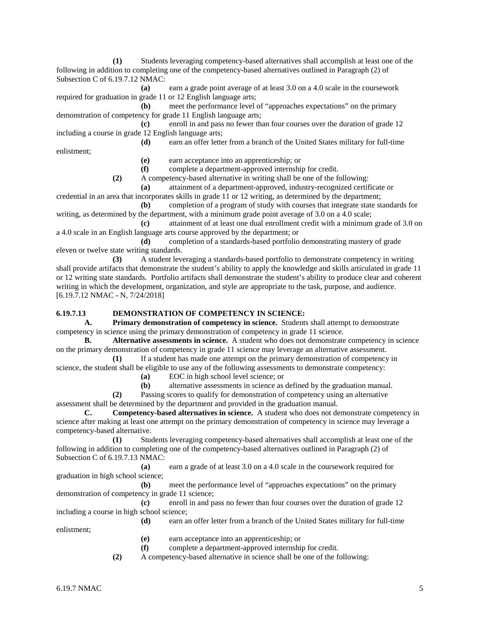**(1)** Students leveraging competency-based alternatives shall accomplish at least one of the following in addition to completing one of the competency-based alternatives outlined in Paragraph (2) of Subsection C of 6.19.7.12 NMAC:

**(a)** earn a grade point average of at least 3.0 on a 4.0 scale in the coursework required for graduation in grade 11 or 12 English language arts;

**(b)** meet the performance level of "approaches expectations" on the primary demonstration of competency for grade 11 English language arts;

**(c)** enroll in and pass no fewer than four courses over the duration of grade 12 including a course in grade 12 English language arts;

**(d)** earn an offer letter from a branch of the United States military for full-time enlistment;

**(e)** earn acceptance into an apprenticeship; or

**(f)** complete a department-approved internship for credit.

**(2)** A competency-based alternative in writing shall be one of the following:

**(a)** attainment of a department-approved, industry-recognized certificate or

credential in an area that incorporates skills in grade 11 or 12 writing, as determined by the department;

**(b)** completion of a program of study with courses that integrate state standards for writing, as determined by the department, with a minimum grade point average of 3.0 on a 4.0 scale;

**(c)** attainment of at least one dual enrollment credit with a minimum grade of 3.0 on a 4.0 scale in an English language arts course approved by the department; or

**(d)** completion of a standards-based portfolio demonstrating mastery of grade eleven or twelve state writing standards.

**(3)** A student leveraging a standards-based portfolio to demonstrate competency in writing shall provide artifacts that demonstrate the student's ability to apply the knowledge and skills articulated in grade 11 or 12 writing state standards. Portfolio artifacts shall demonstrate the student's ability to produce clear and coherent writing in which the development, organization, and style are appropriate to the task, purpose, and audience. [6.19.7.12 NMAC - N, 7/24/2018]

# **6.19.7.13 DEMONSTRATION OF COMPETENCY IN SCIENCE:**

**A. Primary demonstration of competency in science.** Students shall attempt to demonstrate competency in science using the primary demonstration of competency in grade 11 science.

**B. Alternative assessments in science.** A student who does not demonstrate competency in science on the primary demonstration of competency in grade 11 science may leverage an alternative assessment.

**(1)** If a student has made one attempt on the primary demonstration of competency in science, the student shall be eligible to use any of the following assessments to demonstrate competency:

**(a)** EOC in high school level science; or

**(b)** alternative assessments in science as defined by the graduation manual.

**(2)** Passing scores to qualify for demonstration of competency using an alternative assessment shall be determined by the department and provided in the graduation manual.

**C. Competency-based alternatives in science.** A student who does not demonstrate competency in science after making at least one attempt on the primary demonstration of competency in science may leverage a competency-based alternative.

**(1)** Students leveraging competency-based alternatives shall accomplish at least one of the following in addition to completing one of the competency-based alternatives outlined in Paragraph (2) of Subsection C of 6.19.7.13 NMAC:

**(a)** earn a grade of at least 3.0 on a 4.0 scale in the coursework required for graduation in high school science;

**(b)** meet the performance level of "approaches expectations" on the primary demonstration of competency in grade 11 science;

**(c)** enroll in and pass no fewer than four courses over the duration of grade 12 including a course in high school science;

**(d)** earn an offer letter from a branch of the United States military for full-time enlistment;

**(e)** earn acceptance into an apprenticeship; or

**(f)** complete a department-approved internship for credit.

**(2)** A competency-based alternative in science shall be one of the following: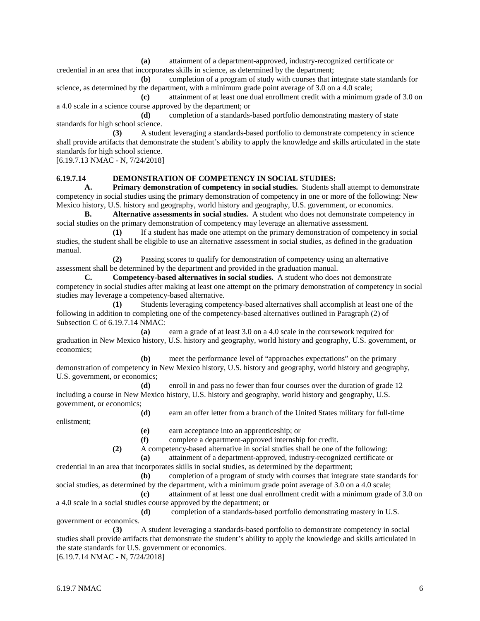**(a)** attainment of a department-approved, industry-recognized certificate or credential in an area that incorporates skills in science, as determined by the department;

**(b)** completion of a program of study with courses that integrate state standards for science, as determined by the department, with a minimum grade point average of 3.0 on a 4.0 scale;

**(c)** attainment of at least one dual enrollment credit with a minimum grade of 3.0 on a 4.0 scale in a science course approved by the department; or

**(d)** completion of a standards-based portfolio demonstrating mastery of state standards for high school science.

**(3)** A student leveraging a standards-based portfolio to demonstrate competency in science shall provide artifacts that demonstrate the student's ability to apply the knowledge and skills articulated in the state standards for high school science.

[6.19.7.13 NMAC - N, 7/24/2018]

#### **6.19.7.14 DEMONSTRATION OF COMPETENCY IN SOCIAL STUDIES:**

**A. Primary demonstration of competency in social studies.** Students shall attempt to demonstrate competency in social studies using the primary demonstration of competency in one or more of the following: New Mexico history, U.S. history and geography, world history and geography, U.S. government, or economics.

**B. Alternative assessments in social studies.** A student who does not demonstrate competency in social studies on the primary demonstration of competency may leverage an alternative assessment.

**(1)** If a student has made one attempt on the primary demonstration of competency in social studies, the student shall be eligible to use an alternative assessment in social studies, as defined in the graduation manual.

**(2)** Passing scores to qualify for demonstration of competency using an alternative assessment shall be determined by the department and provided in the graduation manual.

**C. Competency-based alternatives in social studies.** A student who does not demonstrate competency in social studies after making at least one attempt on the primary demonstration of competency in social studies may leverage a competency-based alternative.

**(1)** Students leveraging competency-based alternatives shall accomplish at least one of the following in addition to completing one of the competency-based alternatives outlined in Paragraph (2) of Subsection C of 6.19.7.14 NMAC:

**(a)** earn a grade of at least 3.0 on a 4.0 scale in the coursework required for graduation in New Mexico history, U.S. history and geography, world history and geography, U.S. government, or economics;

**(b)** meet the performance level of "approaches expectations" on the primary demonstration of competency in New Mexico history, U.S. history and geography, world history and geography, U.S. government, or economics;

**(d)** enroll in and pass no fewer than four courses over the duration of grade 12 including a course in New Mexico history, U.S. history and geography, world history and geography, U.S. government, or economics; **(d)** earn an offer letter from a branch of the United States military for full-time

enlistment;

**(e)** earn acceptance into an apprenticeship; or

**(f)** complete a department-approved internship for credit.

**(2)** A competency-based alternative in social studies shall be one of the following: **(a)** attainment of a department-approved, industry-recognized certificate or

credential in an area that incorporates skills in social studies, as determined by the department;

**(b)** completion of a program of study with courses that integrate state standards for social studies, as determined by the department, with a minimum grade point average of 3.0 on a 4.0 scale;

**(c)** attainment of at least one dual enrollment credit with a minimum grade of 3.0 on a 4.0 scale in a social studies course approved by the department; or

**(d)** completion of a standards-based portfolio demonstrating mastery in U.S. government or economics.

**(3)** A student leveraging a standards-based portfolio to demonstrate competency in social studies shall provide artifacts that demonstrate the student's ability to apply the knowledge and skills articulated in the state standards for U.S. government or economics.

[6.19.7.14 NMAC - N, 7/24/2018]